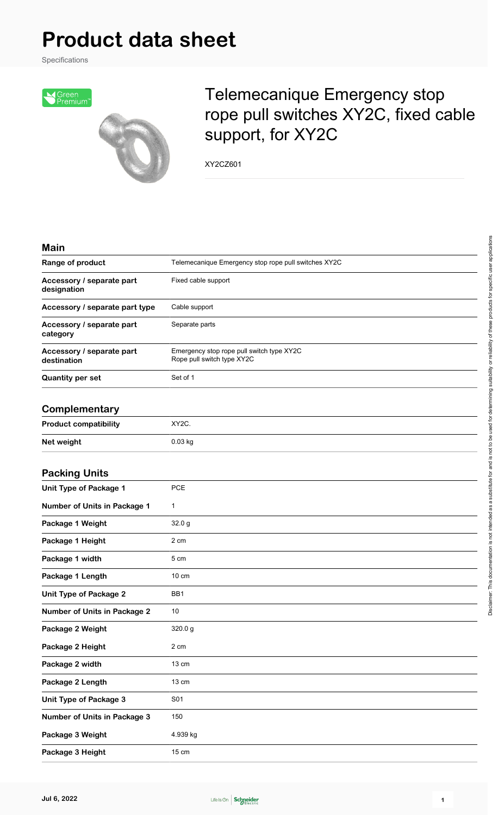## **Product data sheet**

Specifications



## Telemecanique Emergency stop rope pull switches XY2C, fixed cable support, for XY2C

XY2CZ601

| <b>Main</b>                              |                                                                         |
|------------------------------------------|-------------------------------------------------------------------------|
| Range of product                         | Telemecanique Emergency stop rope pull switches XY2C                    |
| Accessory / separate part<br>designation | Fixed cable support                                                     |
| Accessory / separate part type           | Cable support                                                           |
| Accessory / separate part<br>category    | Separate parts                                                          |
| Accessory / separate part<br>destination | Emergency stop rope pull switch type XY2C<br>Rope pull switch type XY2C |
| <b>Quantity per set</b>                  | Set of 1                                                                |
| Complementary                            |                                                                         |
| <b>Product compatibility</b>             | XY2C.                                                                   |
| Net weight                               | 0.03 kg                                                                 |
| <b>Packing Units</b>                     |                                                                         |
| <b>Unit Type of Package 1</b>            | PCE                                                                     |
| Number of Units in Package 1             | 1                                                                       |
| Package 1 Weight                         | 32.0 g                                                                  |
| Package 1 Height                         | 2 cm                                                                    |
| Package 1 width                          | 5 cm                                                                    |
| Package 1 Length                         | $10 \text{ cm}$                                                         |
| <b>Unit Type of Package 2</b>            | BB1                                                                     |
| <b>Number of Units in Package 2</b>      | 10                                                                      |
| Package 2 Weight                         | 320.0 g                                                                 |
| Package 2 Height                         | 2 cm                                                                    |
| Package 2 width                          | 13 cm                                                                   |
| Package 2 Length                         | 13 cm                                                                   |
| Unit Type of Package 3                   | S01                                                                     |
| <b>Number of Units in Package 3</b>      | 150                                                                     |
| Package 3 Weight                         | 4.939 kg                                                                |
| Package 3 Height                         | $15 \text{ cm}$                                                         |